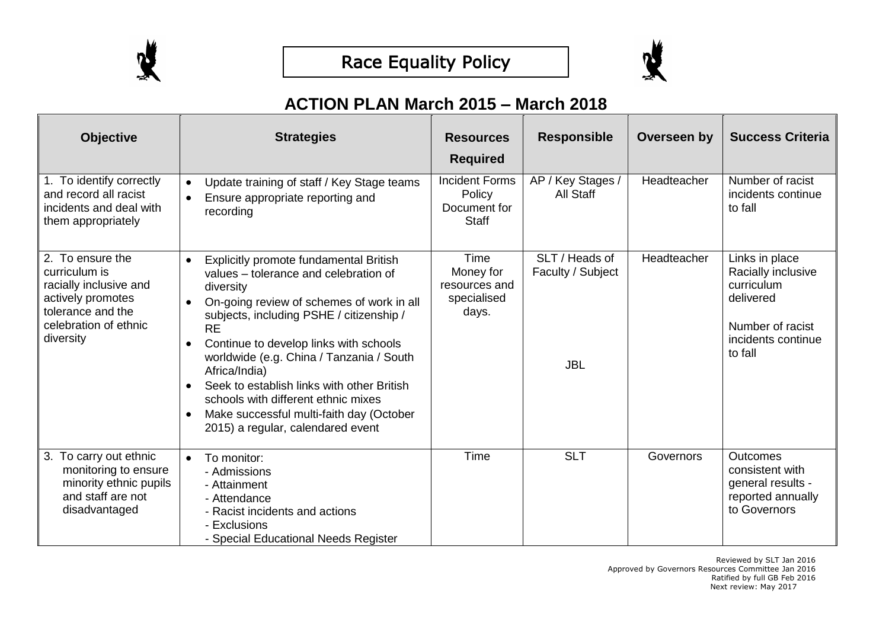



## **ACTION PLAN March 2015 – March 2018**

| <b>Objective</b>                                                                                                                            | <b>Strategies</b>                                                                                                                                                                                                                                                                                                                                                                                                                                                                            | <b>Resources</b><br><b>Required</b>                             | <b>Responsible</b>                                | Overseen by | <b>Success Criteria</b>                                                                                              |
|---------------------------------------------------------------------------------------------------------------------------------------------|----------------------------------------------------------------------------------------------------------------------------------------------------------------------------------------------------------------------------------------------------------------------------------------------------------------------------------------------------------------------------------------------------------------------------------------------------------------------------------------------|-----------------------------------------------------------------|---------------------------------------------------|-------------|----------------------------------------------------------------------------------------------------------------------|
| 1. To identify correctly<br>and record all racist<br>incidents and deal with<br>them appropriately                                          | Update training of staff / Key Stage teams<br>Ensure appropriate reporting and<br>$\bullet$<br>recording                                                                                                                                                                                                                                                                                                                                                                                     | <b>Incident Forms</b><br>Policy<br>Document for<br><b>Staff</b> | AP / Key Stages /<br>All Staff                    | Headteacher | Number of racist<br>incidents continue<br>to fall                                                                    |
| 2. To ensure the<br>curriculum is<br>racially inclusive and<br>actively promotes<br>tolerance and the<br>celebration of ethnic<br>diversity | Explicitly promote fundamental British<br>values - tolerance and celebration of<br>diversity<br>On-going review of schemes of work in all<br>subjects, including PSHE / citizenship /<br><b>RE</b><br>Continue to develop links with schools<br>$\bullet$<br>worldwide (e.g. China / Tanzania / South<br>Africa/India)<br>Seek to establish links with other British<br>schools with different ethnic mixes<br>Make successful multi-faith day (October<br>2015) a regular, calendared event | Time<br>Money for<br>resources and<br>specialised<br>days.      | SLT / Heads of<br>Faculty / Subject<br><b>JBL</b> | Headteacher | Links in place<br>Racially inclusive<br>curriculum<br>delivered<br>Number of racist<br>incidents continue<br>to fall |
| 3. To carry out ethnic<br>monitoring to ensure<br>minority ethnic pupils<br>and staff are not<br>disadvantaged                              | To monitor:<br>$\bullet$<br>- Admissions<br>- Attainment<br>- Attendance<br>- Racist incidents and actions<br>- Exclusions<br>- Special Educational Needs Register                                                                                                                                                                                                                                                                                                                           | Time                                                            | <b>SLT</b>                                        | Governors   | <b>Outcomes</b><br>consistent with<br>general results -<br>reported annually<br>to Governors                         |